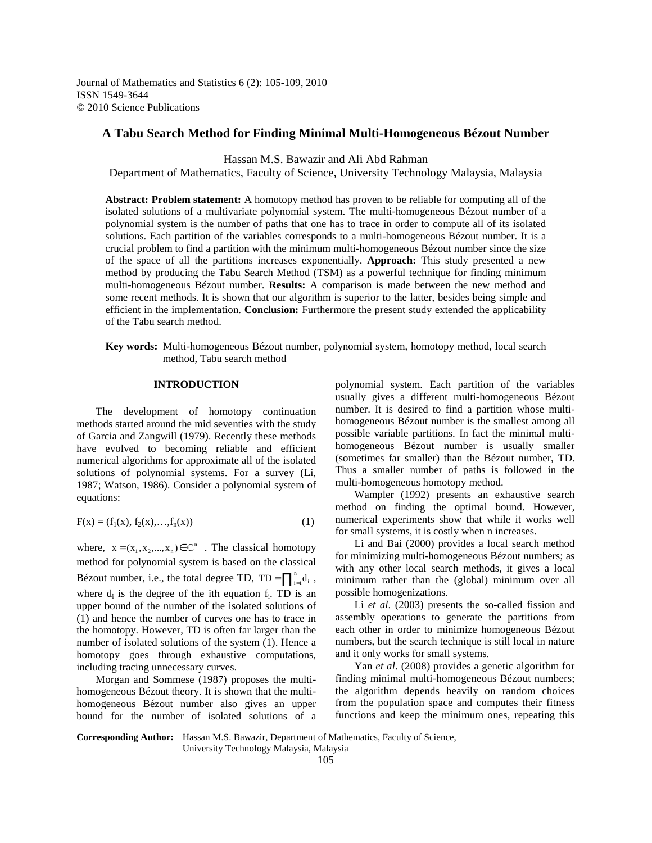Journal of Mathematics and Statistics 6 (2): 105-109, 2010 ISSN 1549-3644 © 2010 Science Publications

## **A Tabu Search Method for Finding Minimal Multi-Homogeneous Bézout Number**

Hassan M.S. Bawazir and Ali Abd Rahman

Department of Mathematics, Faculty of Science, University Technology Malaysia, Malaysia

**Abstract: Problem statement:** A homotopy method has proven to be reliable for computing all of the isolated solutions of a multivariate polynomial system. The multi-homogeneous Bézout number of a polynomial system is the number of paths that one has to trace in order to compute all of its isolated solutions. Each partition of the variables corresponds to a multi-homogeneous Bézout number. It is a crucial problem to find a partition with the minimum multi-homogeneous Bézout number since the size of the space of all the partitions increases exponentially. **Approach:** This study presented a new method by producing the Tabu Search Method (TSM) as a powerful technique for finding minimum multi-homogeneous Bézout number. **Results:** A comparison is made between the new method and some recent methods. It is shown that our algorithm is superior to the latter, besides being simple and efficient in the implementation. **Conclusion:** Furthermore the present study extended the applicability of the Tabu search method.

**Key words:** Multi-homogeneous Bézout number, polynomial system, homotopy method, local search method, Tabu search method

### **INTRODUCTION**

 The development of homotopy continuation methods started around the mid seventies with the study of Garcia and Zangwill (1979). Recently these methods have evolved to becoming reliable and efficient numerical algorithms for approximate all of the isolated solutions of polynomial systems. For a survey (Li, 1987; Watson, 1986). Consider a polynomial system of equations:

$$
F(x) = (f_1(x), f_2(x), \dots, f_n(x))
$$
 (1)

where,  $x = (x_1, x_2, ..., x_n) \in \mathbb{C}^n$ . The classical homotopy method for polynomial system is based on the classical Bézout number, i.e., the total degree TD, TD =  $\prod_{i=1}^{n} d_i$ , where  $d_i$  is the degree of the ith equation  $f_i$ . TD is an upper bound of the number of the isolated solutions of (1) and hence the number of curves one has to trace in the homotopy. However, TD is often far larger than the number of isolated solutions of the system (1). Hence a homotopy goes through exhaustive computations, including tracing unnecessary curves.

 Morgan and Sommese (1987) proposes the multihomogeneous Bézout theory. It is shown that the multihomogeneous Bézout number also gives an upper bound for the number of isolated solutions of a polynomial system. Each partition of the variables usually gives a different multi-homogeneous Bézout number. It is desired to find a partition whose multihomogeneous Bézout number is the smallest among all possible variable partitions. In fact the minimal multihomogeneous Bézout number is usually smaller (sometimes far smaller) than the Bézout number, TD. Thus a smaller number of paths is followed in the multi-homogeneous homotopy method.

 Wampler (1992) presents an exhaustive search method on finding the optimal bound. However, numerical experiments show that while it works well for small systems, it is costly when n increases.

 Li and Bai (2000) provides a local search method for minimizing multi-homogeneous Bézout numbers; as with any other local search methods, it gives a local minimum rather than the (global) minimum over all possible homogenizations.

 Li *et al*. (2003) presents the so-called fission and assembly operations to generate the partitions from each other in order to minimize homogeneous Bézout numbers, but the search technique is still local in nature and it only works for small systems.

 Yan *et al*. (2008) provides a genetic algorithm for finding minimal multi-homogeneous Bézout numbers; the algorithm depends heavily on random choices from the population space and computes their fitness functions and keep the minimum ones, repeating this

**Corresponding Author:** Hassan M.S. Bawazir, Department of Mathematics, Faculty of Science, University Technology Malaysia, Malaysia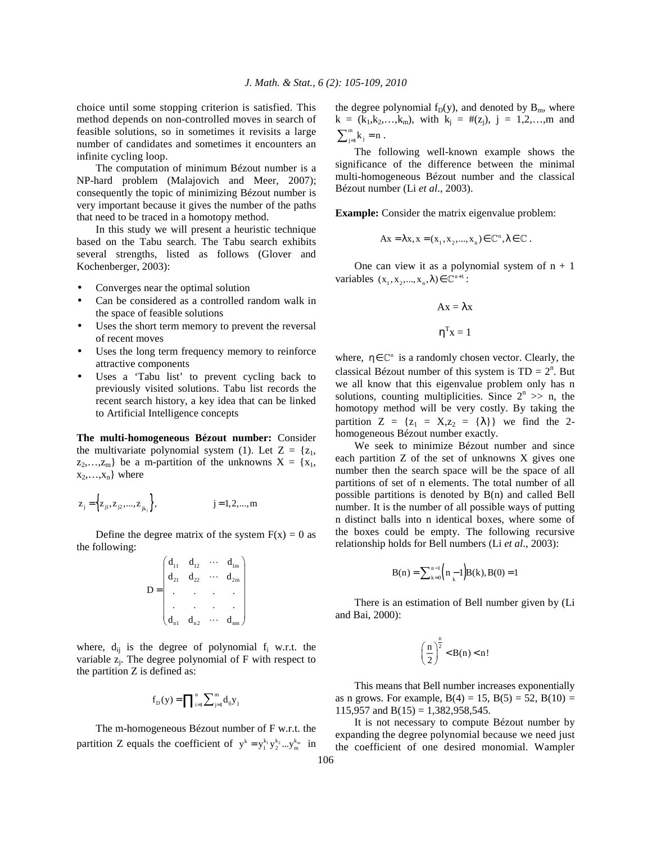choice until some stopping criterion is satisfied. This method depends on non-controlled moves in search of feasible solutions, so in sometimes it revisits a large number of candidates and sometimes it encounters an infinite cycling loop.

 The computation of minimum Bézout number is a NP-hard problem (Malajovich and Meer, 2007); consequently the topic of minimizing Bézout number is very important because it gives the number of the paths that need to be traced in a homotopy method.

 In this study we will present a heuristic technique based on the Tabu search. The Tabu search exhibits several strengths, listed as follows (Glover and Kochenberger, 2003):

- Converges near the optimal solution
- Can be considered as a controlled random walk in the space of feasible solutions
- Uses the short term memory to prevent the reversal of recent moves
- Uses the long term frequency memory to reinforce attractive components
- Uses a 'Tabu list' to prevent cycling back to previously visited solutions. Tabu list records the recent search history, a key idea that can be linked to Artificial Intelligence concepts

**The multi-homogeneous Bézout number:** Consider the multivariate polynomial system (1). Let  $Z = \{z_1, z_2, \dots, z_n\}$  $z_2,...,z_m$ } be a m-partition of the unknowns  $X = \{x_1,$  $x_2,...,x_n$ } where

$$
z_j = \{z_{j1}, z_{j2},..., z_{jk_j}\},
$$
  $j = 1, 2,..., m$ 

Define the degree matrix of the system  $F(x) = 0$  as the following:

$$
D = \begin{pmatrix} d_{11} & d_{12} & \cdots & d_{1m} \\ d_{21} & d_{22} & \cdots & d_{2m} \\ \cdot & \cdot & \cdot & \cdot \\ \cdot & \cdot & \cdot & \cdot \\ d_{n1} & d_{n2} & \cdots & d_{nm} \end{pmatrix}
$$

where,  $d_{ij}$  is the degree of polynomial  $f_i$  w.r.t. the variable  $z_j$ . The degree polynomial of F with respect to the partition Z is defined as:

$$
f_{D}(y) = \prod_{i=1}^{n} \sum_{j=1}^{m} d_{ij} y_{j}
$$

 The m-homogeneous Bézout number of F w.r.t. the partition Z equals the coefficient of  $y^k = y_1^{k_1} y_2^{k_2} \dots y_m^{k_m}$  in the degree polynomial  $f_D(y)$ , and denoted by  $B_m$ , where  $k = (k_1, k_2, \ldots, k_m)$ , with  $k_j = #(z_j)$ ,  $j = 1, 2, \ldots, m$  and  $\sum_{j=1}^{m} k_j = n$ .

 The following well-known example shows the significance of the difference between the minimal multi-homogeneous Bézout number and the classical Bézout number (Li *et al*., 2003).

**Example:** Consider the matrix eigenvalue problem:

$$
Ax = \lambda x, x = (x_1, x_2, ..., x_n) \in \mathbb{C}^n, \lambda \in \mathbb{C}.
$$

One can view it as a polynomial system of  $n + 1$ variables  $(x_1, x_2, ..., x_n, \lambda) \in \mathbb{C}^{n+1}$ :

$$
Ax = \lambda x
$$

$$
\eta^T x = 1
$$

where,  $\eta \in \mathbb{C}^n$  is a randomly chosen vector. Clearly, the classical Bézout number of this system is  $TD = 2^n$ . But we all know that this eigenvalue problem only has n solutions, counting multiplicities. Since  $2^n \gg n$ , the homotopy method will be very costly. By taking the partition  $Z = \{z_1 = X, z_2 = \{\lambda\}\}\$  we find the 2homogeneous Bézout number exactly.

 We seek to minimize Bézout number and since each partition Z of the set of unknowns X gives one number then the search space will be the space of all partitions of set of n elements. The total number of all possible partitions is denoted by B(n) and called Bell number. It is the number of all possible ways of putting n distinct balls into n identical boxes, where some of the boxes could be empty. The following recursive relationship holds for Bell numbers (Li *et al*., 2003):

$$
B(n) = \sum_{k=0}^{n-1} \left( n - 1 \right) B(k), B(0) = 1
$$

 There is an estimation of Bell number given by (Li and Bai, 2000):

$$
\left(\frac{n}{2}\right)^{\frac{n}{2}} < B(n) < n!
$$

 This means that Bell number increases exponentially as n grows. For example,  $B(4) = 15$ ,  $B(5) = 52$ ,  $B(10) =$ 115,957 and  $B(15) = 1,382,958,545$ .

 It is not necessary to compute Bézout number by expanding the degree polynomial because we need just the coefficient of one desired monomial. Wampler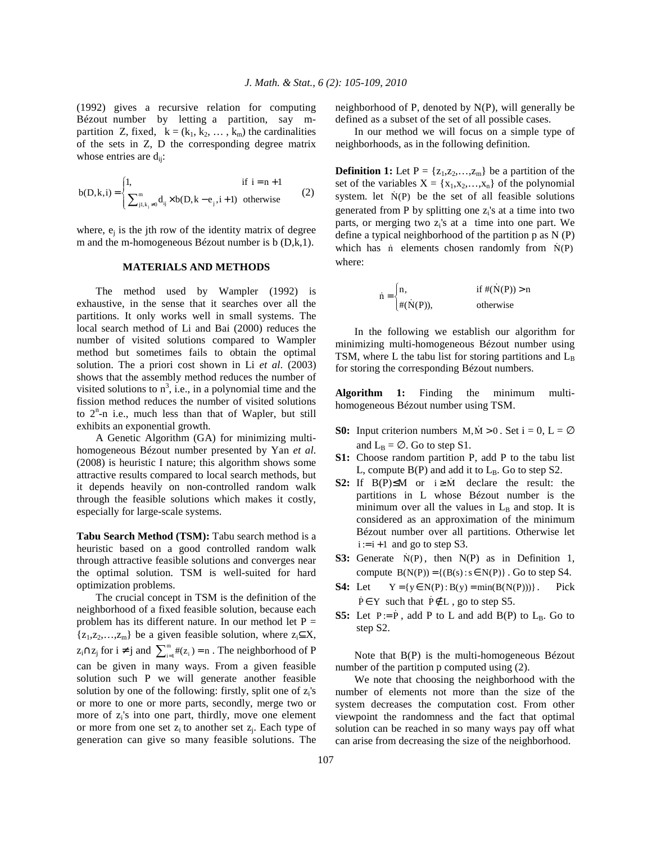(1992) gives a recursive relation for computing Bézout number by letting a partition, say mpartition Z, fixed,  $k = (k_1, k_2, \dots, k_m)$  the cardinalities of the sets in Z, D the corresponding degree matrix whose entries are  $d_{ii}$ :

$$
b(D,k,i) = \begin{cases} 1, & \text{if } i = n+1 \\ \sum_{j1,k_j \neq 0}^{m} d_{ij} \times b(D,k - e_j, i+1) & \text{otherwise} \end{cases}
$$
(2)

where,  $e_j$  is the jth row of the identity matrix of degree m and the m-homogeneous Bézout number is b (D,k,1).

## **MATERIALS AND METHODS**

 The method used by Wampler (1992) is exhaustive, in the sense that it searches over all the partitions. It only works well in small systems. The local search method of Li and Bai (2000) reduces the number of visited solutions compared to Wampler method but sometimes fails to obtain the optimal solution. The a priori cost shown in Li *et al*. (2003) shows that the assembly method reduces the number of visited solutions to  $n^3$ , i.e., in a polynomial time and the fission method reduces the number of visited solutions to  $2<sup>n</sup>$ -n i.e., much less than that of Wapler, but still exhibits an exponential growth.

 A Genetic Algorithm (GA) for minimizing multihomogeneous Bézout number presented by Yan *et al*. (2008) is heuristic I nature; this algorithm shows some attractive results compared to local search methods, but it depends heavily on non-controlled random walk through the feasible solutions which makes it costly, especially for large-scale systems.

**Tabu Search Method (TSM):** Tabu search method is a heuristic based on a good controlled random walk through attractive feasible solutions and converges near the optimal solution. TSM is well-suited for hard optimization problems.

 The crucial concept in TSM is the definition of the neighborhood of a fixed feasible solution, because each problem has its different nature. In our method let  $P =$  ${z_1, z_2,...,z_m}$  be a given feasible solution, where  $z_i \subseteq X$ ,  $z_i \cap z_j$  for  $i \neq j$  and  $\sum_{i=1}^m \#(z_i) = n$ . The neighborhood of P can be given in many ways. From a given feasible solution such P we will generate another feasible solution by one of the following: firstly, split one of  $z_i$ 's or more to one or more parts, secondly, merge two or more of z<sup>i</sup> 's into one part, thirdly, move one element or more from one set  $z_i$  to another set  $z_j$ . Each type of generation can give so many feasible solutions. The

neighborhood of P, denoted by N(P), will generally be defined as a subset of the set of all possible cases.

 In our method we will focus on a simple type of neighborhoods, as in the following definition.

**Definition 1:** Let  $P = \{z_1, z_2, \ldots, z_m\}$  be a partition of the set of the variables  $X = \{x_1, x_2, ..., x_n\}$  of the polynomial system. let  $N(P)$  be the set of all feasible solutions generated from P by splitting one  $z_i$ 's at a time into two parts, or merging two z<sub>i</sub>'s at a time into one part. We define a typical neighborhood of the partition p as N (P) which has n elements chosen randomly from  $\dot{N}(P)$ where:

$$
\dot{n} = \begin{cases} n, & \text{if } \#(\dot{N}(P)) > n \\ \#(\dot{N}(P)), & \text{otherwise} \end{cases}
$$

 In the following we establish our algorithm for minimizing multi-homogeneous Bézout number using TSM, where L the tabu list for storing partitions and  $L_B$ for storing the corresponding Bézout numbers.

**Algorithm 1:** Finding the minimum multihomogeneous Bézout number using TSM.

- **S0:** Input criterion numbers  $M, M > 0$ . Set  $i = 0, L = \emptyset$ and  $L_B = \emptyset$ . Go to step S1.
- **S1:** Choose random partition P, add P to the tabu list L, compute  $B(P)$  and add it to  $L_B$ . Go to step S2.
- **S2:** If  $B(P) \leq M$  or  $i \geq M$  declare the result: the partitions in L whose Bézout number is the minimum over all the values in  $L<sub>B</sub>$  and stop. It is considered as an approximation of the minimum Bézout number over all partitions. Otherwise let  $i := i + 1$  and go to step S3.
- **S3:** Generate  $N(P)$ , then  $N(P)$  as in Definition 1, compute  $B(N(P)) = \{(B(s) : s \in N(P)\}\)$ . Go to step S4.
- **S4:** Let  $Y = \{y \in N(P) : B(y) = min(B(N(P)))\}$ . Pick  $P \in Y$  such that  $P \notin L$ , go to step S5.
- **S5:** Let  $P := \dot{P}$ , add P to L and add  $B(P)$  to  $L_B$ . Go to step S2.

 Note that B(P) is the multi-homogeneous Bézout number of the partition p computed using (2).

 We note that choosing the neighborhood with the number of elements not more than the size of the system decreases the computation cost. From other viewpoint the randomness and the fact that optimal solution can be reached in so many ways pay off what can arise from decreasing the size of the neighborhood.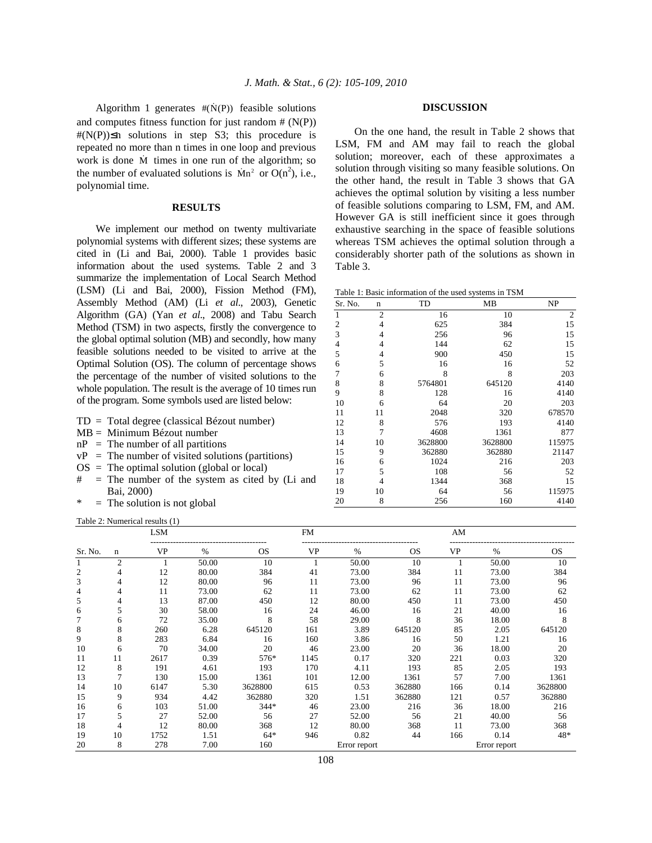Algorithm 1 generates  $#(\dot{N}(P))$  feasible solutions and computes fitness function for just random  $# (N(P))$  $#(N(P)) \leq n$  solutions in step S3; this procedure is repeated no more than n times in one loop and previous work is done M<sup>ɺ</sup> times in one run of the algorithm; so the number of evaluated solutions is  $\text{Mn}^2$  or  $\text{O}(n^2)$ , i.e., polynomial time.

## **RESULTS**

 We implement our method on twenty multivariate polynomial systems with different sizes; these systems are cited in (Li and Bai, 2000). Table 1 provides basic information about the used systems. Table 2 and 3 summarize the implementation of Local Search Method (LSM) (Li and Bai, 2000), Fission Method (FM), Assembly Method (AM) (Li *et al*., 2003), Genetic Algorithm (GA) (Yan *et al*., 2008) and Tabu Search Method (TSM) in two aspects, firstly the convergence to the global optimal solution (MB) and secondly, how many feasible solutions needed to be visited to arrive at the Optimal Solution (OS). The column of percentage shows the percentage of the number of visited solutions to the whole population. The result is the average of 10 times run of the program. Some symbols used are listed below:

- TD = Total degree (classical Bézout number)
- MB = Minimum Bézout number
- $nP = The number of all partitions$
- $vP =$  The number of visited solutions (partitions)
- $OS = The optimal solution (global or local)$
- $#$  = The number of the system as cited by (Li and Bai, 2000)
- $*$  = The solution is not global

Table 2: Numerical results (1)

# **DISCUSSION**

 On the one hand, the result in Table 2 shows that LSM, FM and AM may fail to reach the global solution; moreover, each of these approximates a solution through visiting so many feasible solutions. On the other hand, the result in Table 3 shows that GA achieves the optimal solution by visiting a less number of feasible solutions comparing to LSM, FM, and AM. However GA is still inefficient since it goes through exhaustive searching in the space of feasible solutions whereas TSM achieves the optimal solution through a considerably shorter path of the solutions as shown in Table 3.

Table 1: Basic information of the used systems in TSM

| Sr. No.<br>n   |                | TD      | MB      | NP             |  |
|----------------|----------------|---------|---------|----------------|--|
| $\mathbf{1}$   | $\overline{2}$ | 16      | 10      | $\overline{2}$ |  |
| 2              | 4              | 625     | 384     | 15             |  |
| 3              | $\overline{4}$ | 256     | 96      | 15             |  |
| $\overline{4}$ | $\overline{4}$ | 144     | 62      | 15             |  |
| 5              | 4              | 900     | 450     | 15             |  |
| 6              | 5              | 16      | 16      | 52             |  |
| 7              | 6              | 8       | 8       | 203            |  |
| 8              | 8              | 5764801 | 645120  | 4140           |  |
| 9              | 8              | 128     | 16      | 4140           |  |
| 10             | 6              | 64      | 20      | 203            |  |
| 11             | 11             | 2048    | 320     | 678570         |  |
| 12             | 8              | 576     | 193     | 4140           |  |
| 13             | 7              | 4608    | 1361    | 877            |  |
| 14             | 10             | 3628800 | 3628800 | 115975         |  |
| 15             | 9              | 362880  | 362880  | 21147          |  |
| 16             | 6              | 1024    | 216     | 203            |  |
| 17             | 5              | 108     | 56      | 52             |  |
| 18             | 4              | 1344    | 368     | 15             |  |
| 19             | 10             | 64      | 56      | 115975         |  |
| 20             | 8              | 256     | 160     | 4140           |  |

|         | <b>LSM</b>     |      |       | <b>FM</b> |      |              | AM            |           |               |         |
|---------|----------------|------|-------|-----------|------|--------------|---------------|-----------|---------------|---------|
| Sr. No. | n              | VP   | $\%$  | OS.       | VP   | $\%$         | <sub>OS</sub> | <b>VP</b> | $\frac{0}{0}$ | OS.     |
|         | $\overline{2}$ |      | 50.00 | 10        |      | 50.00        | 10            |           | 50.00         | 10      |
| 2       |                | 12   | 80.00 | 384       | 41   | 73.00        | 384           | 11        | 73.00         | 384     |
| 3       |                | 12   | 80.00 | 96        | 11   | 73.00        | 96            | 11        | 73.00         | 96      |
| 4       | 4              | 11   | 73.00 | 62        | 11   | 73.00        | 62            | 11        | 73.00         | 62      |
| 5       | 4              | 13   | 87.00 | 450       | 12   | 80.00        | 450           | 11        | 73.00         | 450     |
| 6       | 5              | 30   | 58.00 | 16        | 24   | 46.00        | 16            | 21        | 40.00         | 16      |
|         | 6              | 72   | 35.00 | 8         | 58   | 29.00        | 8             | 36        | 18.00         | 8       |
| 8       | 8              | 260  | 6.28  | 645120    | 161  | 3.89         | 645120        | 85        | 2.05          | 645120  |
| 9       | 8              | 283  | 6.84  | 16        | 160  | 3.86         | 16            | 50        | 1.21          | 16      |
| 10      | 6              | 70   | 34.00 | 20        | 46   | 23.00        | 20            | 36        | 18.00         | 20      |
| 11      | 11             | 2617 | 0.39  | 576*      | 1145 | 0.17         | 320           | 221       | 0.03          | 320     |
| 12      | 8              | 191  | 4.61  | 193       | 170  | 4.11         | 193           | 85        | 2.05          | 193     |
| 13      | 7              | 130  | 15.00 | 1361      | 101  | 12.00        | 1361          | 57        | 7.00          | 1361    |
| 14      | 10             | 6147 | 5.30  | 3628800   | 615  | 0.53         | 362880        | 166       | 0.14          | 3628800 |
| 15      | 9              | 934  | 4.42  | 362880    | 320  | 1.51         | 362880        | 121       | 0.57          | 362880  |
| 16      | 6              | 103  | 51.00 | $344*$    | 46   | 23.00        | 216           | 36        | 18.00         | 216     |
| 17      | 5              | 27   | 52.00 | 56        | 27   | 52.00        | 56            | 21        | 40.00         | 56      |
| 18      | 4              | 12   | 80.00 | 368       | 12   | 80.00        | 368           | 11        | 73.00         | 368     |
| 19      | 10             | 1752 | 1.51  | $64*$     | 946  | 0.82         | 44            | 166       | 0.14          | 48*     |
| 20      | 8              | 278  | 7.00  | 160       |      | Error report |               |           | Error report  |         |